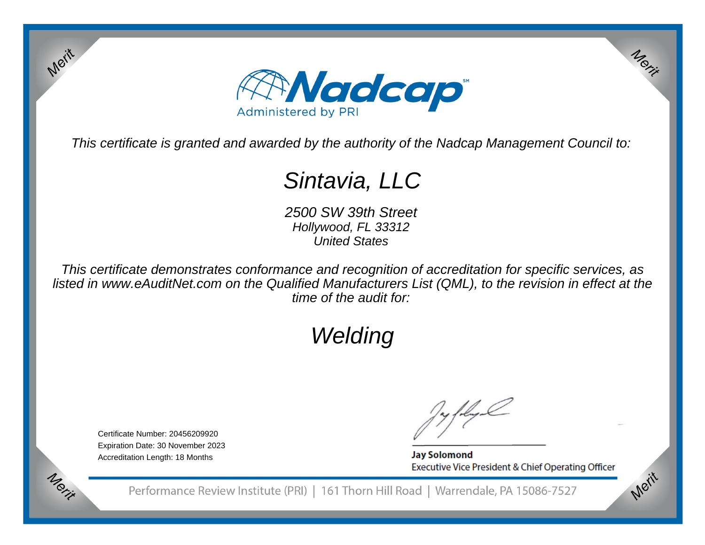

This certificate is granted and awarded by the authority of the Nadcap Management Council to:

# Sintavia, LLC

 2500 SW 39th StreetHollywood, FL 33312United States

This certificate demonstrates conformance and recognition of accreditation for specific services, as listed in www.eAuditNet.com on the Qualified Manufacturers List (QML), to the revision in effect at thetime of the audit for:

# Welding

Certificate Number: 20456209920 Expiration Date: 30 November 2023Accreditation Length: 18 Months

Merit

Merit

**Jay Solomond** Executive Vice President & Chief Operating Officer Merit

Merit

Performance Review Institute (PRI) | 161 Thorn Hill Road | Warrendale, PA 15086-7527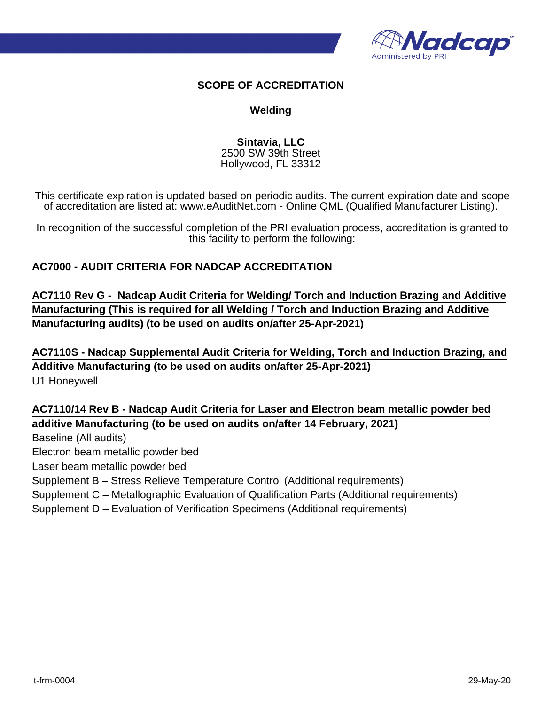

## **SCOPE OF ACCREDITATION**

## **Welding**

**Sintavia, LLC** 2500 SW 39th Street Hollywood, FL 33312

This certificate expiration is updated based on periodic audits. The current expiration date and scope of accreditation are listed at: www.eAuditNet.com - Online QML (Qualified Manufacturer Listing).

In recognition of the successful completion of the PRI evaluation process, accreditation is granted to this facility to perform the following:

# **AC7000 - AUDIT CRITERIA FOR NADCAP ACCREDITATION**

**AC7110 Rev G - Nadcap Audit Criteria for Welding/ Torch and Induction Brazing and Additive Manufacturing (This is required for all Welding / Torch and Induction Brazing and Additive Manufacturing audits) (to be used on audits on/after 25-Apr-2021)**

**AC7110S - Nadcap Supplemental Audit Criteria for Welding, Torch and Induction Brazing, and Additive Manufacturing (to be used on audits on/after 25-Apr-2021)**

U1 Honeywell

**AC7110/14 Rev B - Nadcap Audit Criteria for Laser and Electron beam metallic powder bed additive Manufacturing (to be used on audits on/after 14 February, 2021)**

Baseline (All audits)

Electron beam metallic powder bed

Laser beam metallic powder bed

Supplement B – Stress Relieve Temperature Control (Additional requirements)

Supplement C – Metallographic Evaluation of Qualification Parts (Additional requirements)

Supplement D – Evaluation of Verification Specimens (Additional requirements)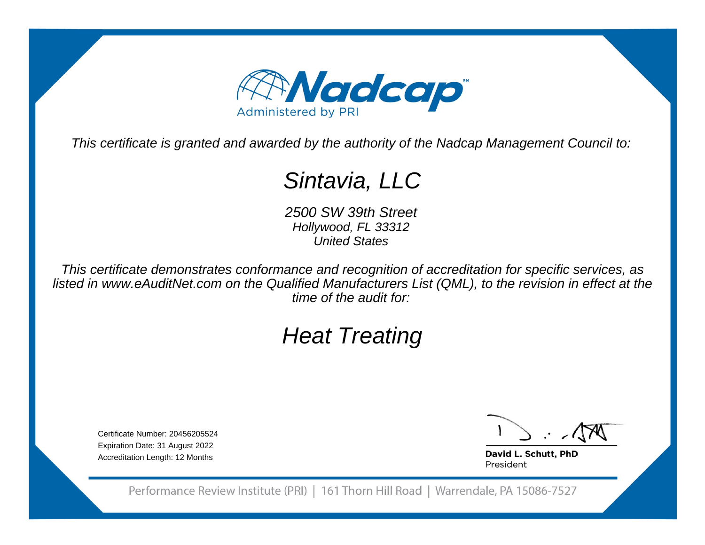

This certificate is granted and awarded by the authority of the Nadcap Management Council to:

# Sintavia, LLC

 2500 SW 39th StreetHollywood, FL 33312United States

This certificate demonstrates conformance and recognition of accreditation for specific services, as listed in www.eAuditNet.com on the Qualified Manufacturers List (QML), to the revision in effect at thetime of the audit for:

# Heat Treating

Certificate Number: 20456205524 Expiration Date: 31 August 2022Accreditation Length: 12 Months

David L. Schutt, PhD President

Performance Review Institute (PRI) | 161 Thorn Hill Road | Warrendale, PA 15086-7527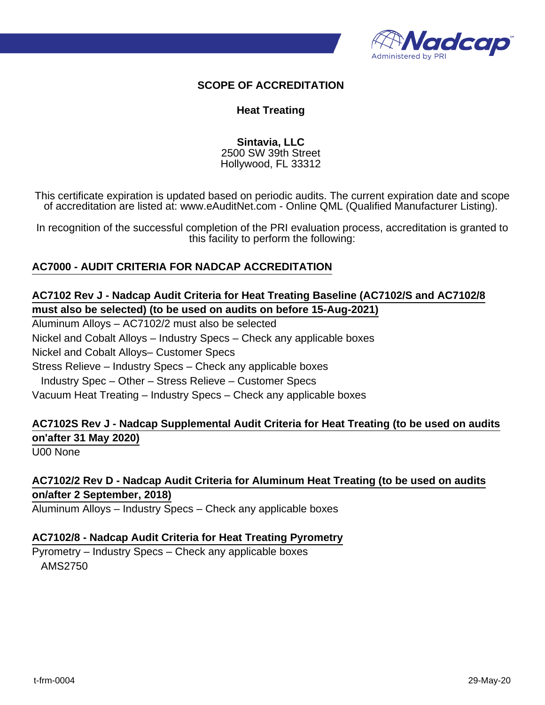

## **SCOPE OF ACCREDITATION**

### **Heat Treating**

**Sintavia, LLC** 2500 SW 39th Street Hollywood, FL 33312

This certificate expiration is updated based on periodic audits. The current expiration date and scope of accreditation are listed at: www.eAuditNet.com - Online QML (Qualified Manufacturer Listing).

In recognition of the successful completion of the PRI evaluation process, accreditation is granted to this facility to perform the following:

### **AC7000 - AUDIT CRITERIA FOR NADCAP ACCREDITATION**

# **AC7102 Rev J - Nadcap Audit Criteria for Heat Treating Baseline (AC7102/S and AC7102/8 must also be selected) (to be used on audits on before 15-Aug-2021)**

Aluminum Alloys – AC7102/2 must also be selected Nickel and Cobalt Alloys – Industry Specs – Check any applicable boxes Nickel and Cobalt Alloys– Customer Specs Stress Relieve – Industry Specs – Check any applicable boxes Industry Spec – Other – Stress Relieve – Customer Specs Vacuum Heat Treating – Industry Specs – Check any applicable boxes

# **AC7102S Rev J - Nadcap Supplemental Audit Criteria for Heat Treating (to be used on audits on'after 31 May 2020)**

U00 None

# **AC7102/2 Rev D - Nadcap Audit Criteria for Aluminum Heat Treating (to be used on audits on/after 2 September, 2018)**

Aluminum Alloys – Industry Specs – Check any applicable boxes

### **AC7102/8 - Nadcap Audit Criteria for Heat Treating Pyrometry**

Pyrometry – Industry Specs – Check any applicable boxes AMS2750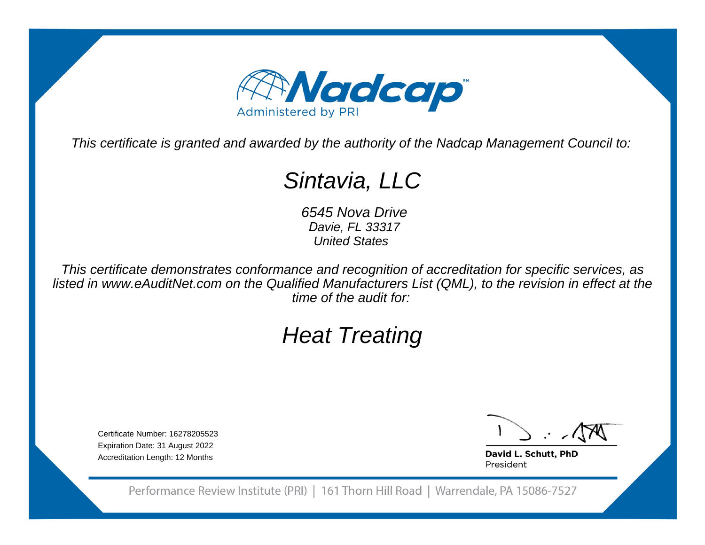

This certificate is granted and awarded by the authority of the Nadcap Management Council to:

# Sintavia, LLC

 6545 Nova Drive *D*avie, FL 33317United States

This certificate demonstrates conformance and recognition of accreditation for specific services, as listed in www.eAuditNet.com on the Qualified Manufacturers List (QML), to the revision in effect at thetime of the audit for:

# Heat Treating

Certificate Number: 16278205523 Expiration Date: 31 August 2022Accreditation Length: 12 Months

David L. Schutt, PhD President

Performance Review Institute (PRI) | 161 Thorn Hill Road | Warrendale, PA 15086-7527